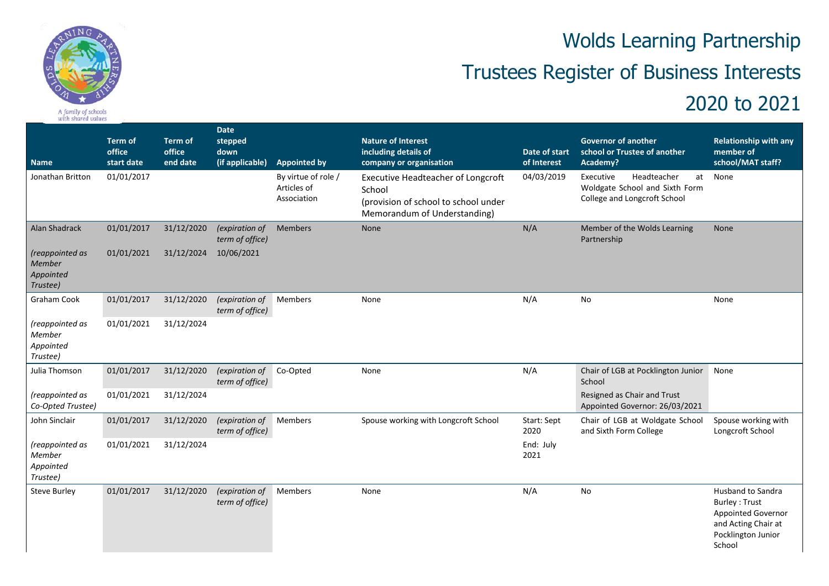

## A family of schools<br>with shared values

## Wolds Learning Partnership Trustees Register of Business Interests

## 2020 to 2021

| <b>Name</b>                                        | <b>Term of</b><br>office<br>start date | <b>Term of</b><br>office<br>end date | Date<br>stepped<br>down<br>(if applicable) | <b>Appointed by</b>                               | <b>Nature of Interest</b><br>including details of<br>company or organisation                                                | Date of start<br>of Interest | <b>Governor of another</b><br>school or Trustee of another<br>Academy?                     | <b>Relationship with any</b><br>member of<br>school/MAT staff?                                                                |
|----------------------------------------------------|----------------------------------------|--------------------------------------|--------------------------------------------|---------------------------------------------------|-----------------------------------------------------------------------------------------------------------------------------|------------------------------|--------------------------------------------------------------------------------------------|-------------------------------------------------------------------------------------------------------------------------------|
| Jonathan Britton                                   | 01/01/2017                             |                                      |                                            | By virtue of role /<br>Articles of<br>Association | <b>Executive Headteacher of Longcroft</b><br>School<br>(provision of school to school under<br>Memorandum of Understanding) | 04/03/2019                   | Executive<br>Headteacher<br>Woldgate School and Sixth Form<br>College and Longcroft School | at None                                                                                                                       |
| Alan Shadrack                                      | 01/01/2017                             | 31/12/2020                           | (expiration of<br>term of office)          | Members                                           | None                                                                                                                        | N/A                          | Member of the Wolds Learning<br>Partnership                                                | <b>None</b>                                                                                                                   |
| (reappointed as<br>Member<br>Appointed<br>Trustee) | 01/01/2021                             | 31/12/2024                           | 10/06/2021                                 |                                                   |                                                                                                                             |                              |                                                                                            |                                                                                                                               |
| <b>Graham Cook</b>                                 | 01/01/2017                             | 31/12/2020                           | (expiration of<br>term of office)          | Members                                           | None                                                                                                                        | N/A                          | <b>No</b>                                                                                  | None                                                                                                                          |
| (reappointed as<br>Member<br>Appointed<br>Trustee) | 01/01/2021                             | 31/12/2024                           |                                            |                                                   |                                                                                                                             |                              |                                                                                            |                                                                                                                               |
| Julia Thomson                                      | 01/01/2017                             | 31/12/2020                           | (expiration of<br>term of office)          | Co-Opted                                          | None                                                                                                                        | N/A                          | Chair of LGB at Pocklington Junior<br>School                                               | None                                                                                                                          |
| (reappointed as<br>Co-Opted Trustee)               | 01/01/2021                             | 31/12/2024                           |                                            |                                                   |                                                                                                                             |                              | Resigned as Chair and Trust<br>Appointed Governor: 26/03/2021                              |                                                                                                                               |
| John Sinclair                                      | 01/01/2017                             | 31/12/2020                           | (expiration of<br>term of office)          | Members                                           | Spouse working with Longcroft School                                                                                        | Start: Sept<br>2020          | Chair of LGB at Woldgate School<br>and Sixth Form College                                  | Spouse working with<br>Longcroft School                                                                                       |
| (reappointed as<br>Member<br>Appointed<br>Trustee) | 01/01/2021                             | 31/12/2024                           |                                            |                                                   |                                                                                                                             | End: July<br>2021            |                                                                                            |                                                                                                                               |
| <b>Steve Burley</b>                                | 01/01/2017                             | 31/12/2020                           | (expiration of<br>term of office)          | Members                                           | None                                                                                                                        | N/A                          | No                                                                                         | Husband to Sandra<br><b>Burley: Trust</b><br><b>Appointed Governor</b><br>and Acting Chair at<br>Pocklington Junior<br>School |